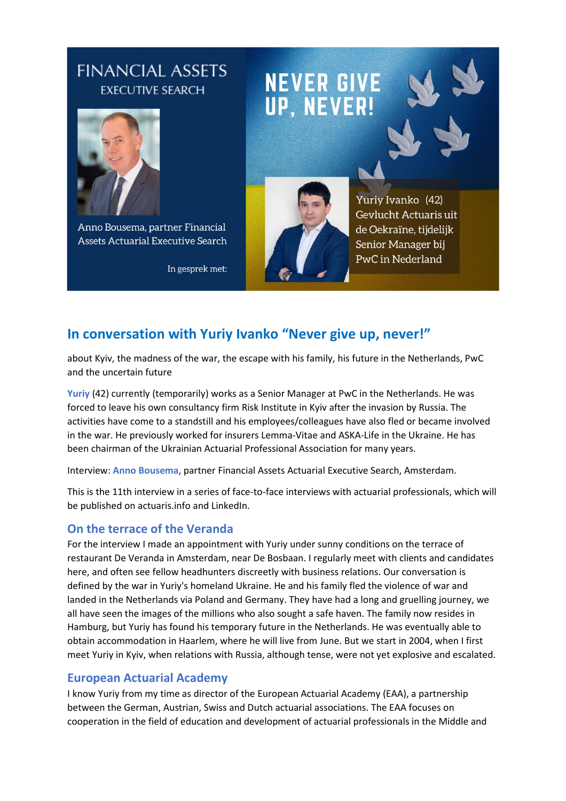## **FINANCIAL ASSETS EXECUTIVE SEARCH**



Anno Bousema, partner Financial **Assets Actuarial Executive Search** 

In gesprek met:

# **NEVER GIVE** UP, NEVER!



Yuriy Ivanko (42) Gevlucht Actuaris uit de Oekraïne, tijdelijk Senior Manager bij PwC in Nederland

### **In conversation with Yuriy Ivanko "Never give up, never!"**

about Kyiv, the madness of the war, the escape with his family, his future in the Netherlands, PwC and the uncertain future

**Yuriy** (42) currently (temporarily) works as a Senior Manager at PwC in the Netherlands. He was forced to leave his own consultancy firm Risk Institute in Kyiv after the invasion by Russia. The activities have come to a standstill and his employees/colleagues have also fled or became involved in the war. He previously worked for insurers Lemma-Vitae and ASKA-Life in the Ukraine. He has been chairman of the Ukrainian Actuarial Professional Association for many years.

Interview: **Anno Bousema**, partner Financial Assets Actuarial Executive Search, Amsterdam.

This is the 11th interview in a series of face-to-face interviews with actuarial professionals, which will be published on actuaris.info and LinkedIn.

#### **On the terrace of the Veranda**

For the interview I made an appointment with Yuriy under sunny conditions on the terrace of restaurant De Veranda in Amsterdam, near De Bosbaan. I regularly meet with clients and candidates here, and often see fellow headhunters discreetly with business relations. Our conversation is defined by the war in Yuriy's homeland Ukraine. He and his family fled the violence of war and landed in the Netherlands via Poland and Germany. They have had a long and gruelling journey, we all have seen the images of the millions who also sought a safe haven. The family now resides in Hamburg, but Yuriy has found his temporary future in the Netherlands. He was eventually able to obtain accommodation in Haarlem, where he will live from June. But we start in 2004, when I first meet Yuriy in Kyiv, when relations with Russia, although tense, were not yet explosive and escalated.

#### **European Actuarial Academy**

I know Yuriy from my time as director of the European Actuarial Academy (EAA), a partnership between the German, Austrian, Swiss and Dutch actuarial associations. The EAA focuses on cooperation in the field of education and development of actuarial professionals in the Middle and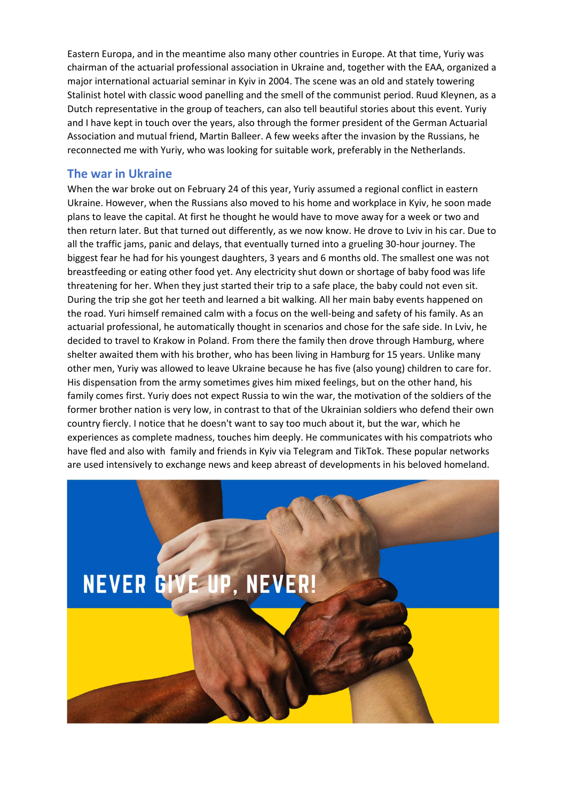Eastern Europa, and in the meantime also many other countries in Europe. At that time, Yuriy was chairman of the actuarial professional association in Ukraine and, together with the EAA, organized a major international actuarial seminar in Kyiv in 2004. The scene was an old and stately towering Stalinist hotel with classic wood panelling and the smell of the communist period. Ruud Kleynen, as a Dutch representative in the group of teachers, can also tell beautiful stories about this event. Yuriy and I have kept in touch over the years, also through the former president of the German Actuarial Association and mutual friend, Martin Balleer. A few weeks after the invasion by the Russians, he reconnected me with Yuriy, who was looking for suitable work, preferably in the Netherlands.

#### **The war in Ukraine**

When the war broke out on February 24 of this year, Yuriy assumed a regional conflict in eastern Ukraine. However, when the Russians also moved to his home and workplace in Kyiv, he soon made plans to leave the capital. At first he thought he would have to move away for a week or two and then return later. But that turned out differently, as we now know. He drove to Lviv in his car. Due to all the traffic jams, panic and delays, that eventually turned into a grueling 30-hour journey. The biggest fear he had for his youngest daughters, 3 years and 6 months old. The smallest one was not breastfeeding or eating other food yet. Any electricity shut down or shortage of baby food was life threatening for her. When they just started their trip to a safe place, the baby could not even sit. During the trip she got her teeth and learned a bit walking. All her main baby events happened on the road. Yuri himself remained calm with a focus on the well-being and safety of his family. As an actuarial professional, he automatically thought in scenarios and chose for the safe side. In Lviv, he decided to travel to Krakow in Poland. From there the family then drove through Hamburg, where shelter awaited them with his brother, who has been living in Hamburg for 15 years. Unlike many other men, Yuriy was allowed to leave Ukraine because he has five (also young) children to care for. His dispensation from the army sometimes gives him mixed feelings, but on the other hand, his family comes first. Yuriy does not expect Russia to win the war, the motivation of the soldiers of the former brother nation is very low, in contrast to that of the Ukrainian soldiers who defend their own country fiercly. I notice that he doesn't want to say too much about it, but the war, which he experiences as complete madness, touches him deeply. He communicates with his compatriots who have fled and also with family and friends in Kyiv via Telegram and TikTok. These popular networks are used intensively to exchange news and keep abreast of developments in his beloved homeland.

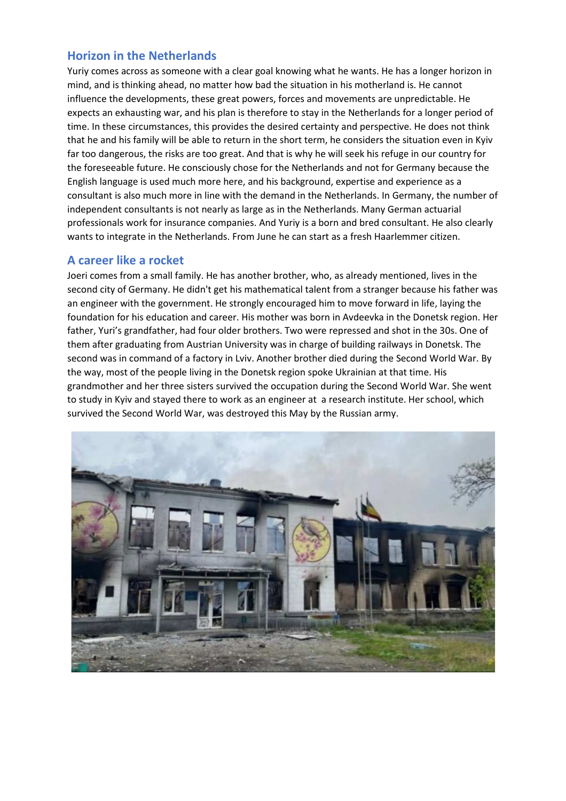#### **Horizon in the Netherlands**

Yuriy comes across as someone with a clear goal knowing what he wants. He has a longer horizon in mind, and is thinking ahead, no matter how bad the situation in his motherland is. He cannot influence the developments, these great powers, forces and movements are unpredictable. He expects an exhausting war, and his plan is therefore to stay in the Netherlands for a longer period of time. In these circumstances, this provides the desired certainty and perspective. He does not think that he and his family will be able to return in the short term, he considers the situation even in Kyiv far too dangerous, the risks are too great. And that is why he will seek his refuge in our country for the foreseeable future. He consciously chose for the Netherlands and not for Germany because the English language is used much more here, and his background, expertise and experience as a consultant is also much more in line with the demand in the Netherlands. In Germany, the number of independent consultants is not nearly as large as in the Netherlands. Many German actuarial professionals work for insurance companies. And Yuriy is a born and bred consultant. He also clearly wants to integrate in the Netherlands. From June he can start as a fresh Haarlemmer citizen.

#### **A career like a rocket**

Joeri comes from a small family. He has another brother, who, as already mentioned, lives in the second city of Germany. He didn't get his mathematical talent from a stranger because his father was an engineer with the government. He strongly encouraged him to move forward in life, laying the foundation for his education and career. His mother was born in Avdeevka in the Donetsk region. Her father, Yuri's grandfather, had four older brothers. Two were repressed and shot in the 30s. One of them after graduating from Austrian University was in charge of building railways in Donetsk. The second was in command of a factory in Lviv. Another brother died during the Second World War. By the way, most of the people living in the Donetsk region spoke Ukrainian at that time. His grandmother and her three sisters survived the occupation during the Second World War. She went to study in Kyiv and stayed there to work as an engineer at a research institute. Her school, which survived the Second World War, was destroyed this May by the Russian army.

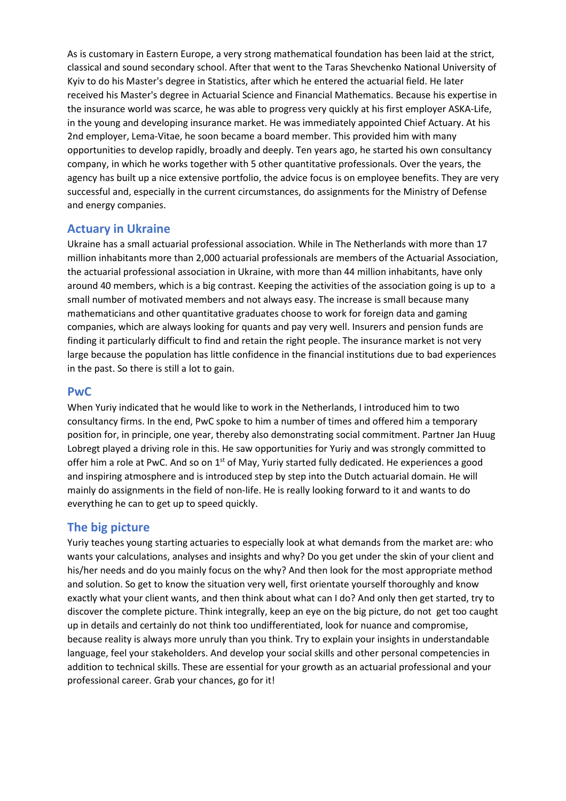As is customary in Eastern Europe, a very strong mathematical foundation has been laid at the strict, classical and sound secondary school. After that went to the Taras Shevchenko National University of Kyiv to do his Master's degree in Statistics, after which he entered the actuarial field. He later received his Master's degree in Actuarial Science and Financial Mathematics. Because his expertise in the insurance world was scarce, he was able to progress very quickly at his first employer ASKA-Life, in the young and developing insurance market. He was immediately appointed Chief Actuary. At his 2nd employer, Lema-Vitae, he soon became a board member. This provided him with many opportunities to develop rapidly, broadly and deeply. Ten years ago, he started his own consultancy company, in which he works together with 5 other quantitative professionals. Over the years, the agency has built up a nice extensive portfolio, the advice focus is on employee benefits. They are very successful and, especially in the current circumstances, do assignments for the Ministry of Defense and energy companies.

#### **Actuary in Ukraine**

Ukraine has a small actuarial professional association. While in The Netherlands with more than 17 million inhabitants more than 2,000 actuarial professionals are members of the Actuarial Association, the actuarial professional association in Ukraine, with more than 44 million inhabitants, have only around 40 members, which is a big contrast. Keeping the activities of the association going is up to a small number of motivated members and not always easy. The increase is small because many mathematicians and other quantitative graduates choose to work for foreign data and gaming companies, which are always looking for quants and pay very well. Insurers and pension funds are finding it particularly difficult to find and retain the right people. The insurance market is not very large because the population has little confidence in the financial institutions due to bad experiences in the past. So there is still a lot to gain.

#### **PwC**

When Yuriy indicated that he would like to work in the Netherlands, I introduced him to two consultancy firms. In the end, PwC spoke to him a number of times and offered him a temporary position for, in principle, one year, thereby also demonstrating social commitment. Partner Jan Huug Lobregt played a driving role in this. He saw opportunities for Yuriy and was strongly committed to offer him a role at PwC. And so on 1<sup>st</sup> of May, Yuriy started fully dedicated. He experiences a good and inspiring atmosphere and is introduced step by step into the Dutch actuarial domain. He will mainly do assignments in the field of non-life. He is really looking forward to it and wants to do everything he can to get up to speed quickly.

#### **The big picture**

Yuriy teaches young starting actuaries to especially look at what demands from the market are: who wants your calculations, analyses and insights and why? Do you get under the skin of your client and his/her needs and do you mainly focus on the why? And then look for the most appropriate method and solution. So get to know the situation very well, first orientate yourself thoroughly and know exactly what your client wants, and then think about what can I do? And only then get started, try to discover the complete picture. Think integrally, keep an eye on the big picture, do not get too caught up in details and certainly do not think too undifferentiated, look for nuance and compromise, because reality is always more unruly than you think. Try to explain your insights in understandable language, feel your stakeholders. And develop your social skills and other personal competencies in addition to technical skills. These are essential for your growth as an actuarial professional and your professional career. Grab your chances, go for it!